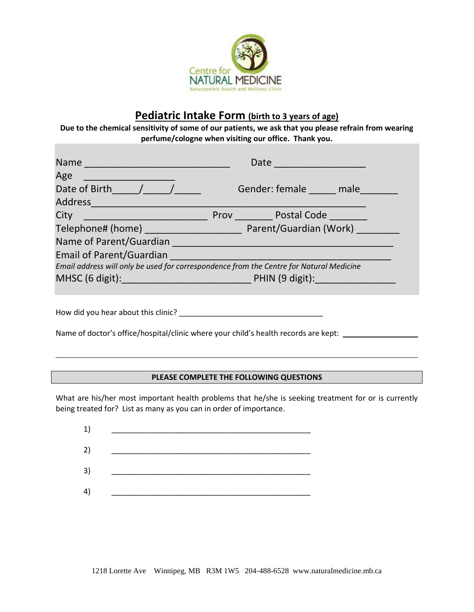

# **Pediatric Intake Form (birth to 3 years of age)**

**Due to the chemical sensitivity of some of our patients, we ask that you please refrain from wearing perfume/cologne when visiting our office. Thank you.**

|                                                                                         | Date<br><u> 1990 - Johann Barbara, martxa a</u> |  |  |  |  |  |
|-----------------------------------------------------------------------------------------|-------------------------------------------------|--|--|--|--|--|
| Age                                                                                     |                                                 |  |  |  |  |  |
| Date of Birth /                                                                         | Gender: female male                             |  |  |  |  |  |
| Address                                                                                 |                                                 |  |  |  |  |  |
| City<br><u> 1980 - Johann Barn, mars an t-Amerikaansk kommunister (</u>                 | <b>Proverty</b> Postal Code                     |  |  |  |  |  |
|                                                                                         |                                                 |  |  |  |  |  |
| Name of Parent/Guardian                                                                 |                                                 |  |  |  |  |  |
| Email of Parent/Guardian <b>Email of Parent/Guardian</b>                                |                                                 |  |  |  |  |  |
| Email address will only be used for correspondence from the Centre for Natural Medicine |                                                 |  |  |  |  |  |
|                                                                                         |                                                 |  |  |  |  |  |
|                                                                                         |                                                 |  |  |  |  |  |

| How did you hear about this clinic? |  |
|-------------------------------------|--|
|-------------------------------------|--|

Name of doctor's office/hospital/clinic where your child's health records are kept:

#### **PLEASE COMPLETE THE FOLLOWING QUESTIONS**

What are his/her most important health problems that he/she is seeking treatment for or is currently being treated for? List as many as you can in order of importance.

| 1)             |  |
|----------------|--|
| 2)             |  |
| 3)             |  |
| $\overline{4}$ |  |
|                |  |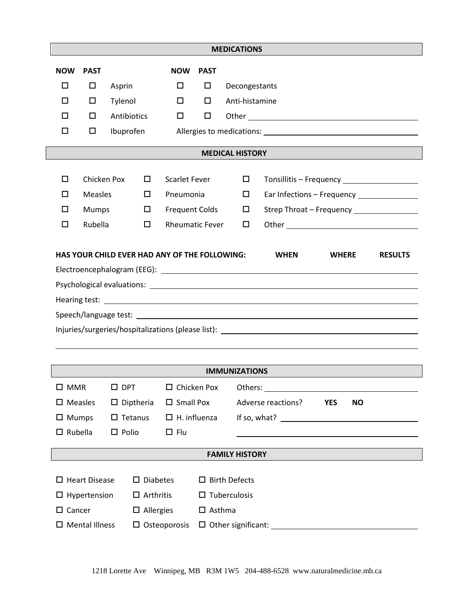| <b>MEDICATIONS</b>                                                                                                                                                                                                             |                                                 |                                               |                        |             |                         |                                              |            |           |  |
|--------------------------------------------------------------------------------------------------------------------------------------------------------------------------------------------------------------------------------|-------------------------------------------------|-----------------------------------------------|------------------------|-------------|-------------------------|----------------------------------------------|------------|-----------|--|
| <b>NOW</b>                                                                                                                                                                                                                     | <b>PAST</b>                                     |                                               | <b>NOW</b>             | <b>PAST</b> |                         |                                              |            |           |  |
| □                                                                                                                                                                                                                              | □                                               | Asprin                                        | □                      | $\Box$      | Decongestants           |                                              |            |           |  |
| □                                                                                                                                                                                                                              | □                                               | Tylenol                                       | $\Box$                 | 0           | Anti-histamine          |                                              |            |           |  |
| □                                                                                                                                                                                                                              | □                                               | Antibiotics                                   | $\Box$                 | $\Box$      |                         |                                              |            |           |  |
| □                                                                                                                                                                                                                              | □                                               | Ibuprofen                                     |                        |             |                         |                                              |            |           |  |
|                                                                                                                                                                                                                                |                                                 |                                               |                        |             |                         |                                              |            |           |  |
| <b>MEDICAL HISTORY</b>                                                                                                                                                                                                         |                                                 |                                               |                        |             |                         |                                              |            |           |  |
| □                                                                                                                                                                                                                              |                                                 | Chicken Pox<br><b>Scarlet Fever</b><br>$\Box$ |                        |             | $\Box$                  | Tonsillitis - Frequency ____________________ |            |           |  |
| □                                                                                                                                                                                                                              | <b>Measles</b>                                  | 0                                             | Pneumonia              |             | $\Box$                  | Ear Infections - Frequency _______________   |            |           |  |
| □                                                                                                                                                                                                                              | Mumps                                           | $\Box$                                        | <b>Frequent Colds</b>  |             | $\Box$                  | Strep Throat - Frequency ________________    |            |           |  |
| $\Box$                                                                                                                                                                                                                         | Rubella                                         | $\Box$                                        | <b>Rheumatic Fever</b> |             | $\Box$                  |                                              |            |           |  |
| Injuries/surgeries/hospitalizations (please list): \\esp \\esp \\esp \\esp \\esp \\esp \\esp \\esp \\esp \\esp \\esp \\esp \\esp \\esp \\esp \\esp \\esp \\esp \\esp \\esp \\esp \\esp \\esp \\esp \\esp \\esp \\esp \\esp \\e |                                                 |                                               |                        |             |                         |                                              |            |           |  |
|                                                                                                                                                                                                                                |                                                 |                                               |                        |             | <b>IMMUNIZATIONS</b>    |                                              |            |           |  |
|                                                                                                                                                                                                                                |                                                 | □ MMR □ DPT □ Chicken Pox                     |                        |             |                         |                                              |            |           |  |
| $\square$ Measles                                                                                                                                                                                                              |                                                 | $\square$ Diptheria                           | $\square$ Small Pox    |             |                         | Adverse reactions?                           | <b>YES</b> | <b>NO</b> |  |
| $\Box$ Mumps                                                                                                                                                                                                                   |                                                 | $\square$ Tetanus                             | $\Box$ H. influenza    |             |                         |                                              |            |           |  |
| $\Box$ Rubella                                                                                                                                                                                                                 |                                                 | $\Box$ Polio                                  | $\Box$ Flu             |             |                         |                                              |            |           |  |
| <b>FAMILY HISTORY</b>                                                                                                                                                                                                          |                                                 |                                               |                        |             |                         |                                              |            |           |  |
|                                                                                                                                                                                                                                |                                                 |                                               |                        |             |                         |                                              |            |           |  |
|                                                                                                                                                                                                                                | $\Box$ Heart Disease                            | $\square$ Diabetes                            |                        |             | $\square$ Birth Defects |                                              |            |           |  |
| $\Box$ Arthritis<br>$\square$ Tuberculosis<br>$\Box$ Hypertension                                                                                                                                                              |                                                 |                                               |                        |             |                         |                                              |            |           |  |
| $\square$ Cancer<br>$\Box$ Allergies<br>$\Box$ Asthma                                                                                                                                                                          |                                                 |                                               |                        |             |                         |                                              |            |           |  |
|                                                                                                                                                                                                                                | $\square$ Mental Illness<br>$\Box$ Osteoporosis |                                               |                        |             |                         |                                              |            |           |  |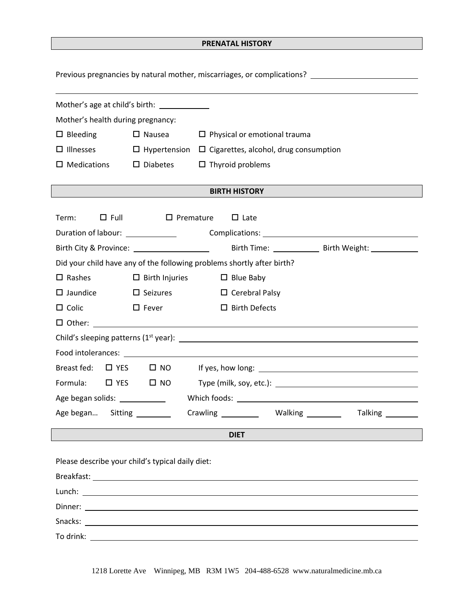### **PRENATAL HISTORY**

Previous pregnancies by natural mother, miscarriages, or complications? \_\_\_\_\_\_\_\_\_\_\_\_\_\_\_\_\_\_\_\_\_\_\_\_\_\_\_\_

| Mother's age at child's birth: _____________                                         |                                                                                                                       |                                                                        |  |  |  |  |
|--------------------------------------------------------------------------------------|-----------------------------------------------------------------------------------------------------------------------|------------------------------------------------------------------------|--|--|--|--|
| Mother's health during pregnancy:                                                    |                                                                                                                       |                                                                        |  |  |  |  |
| $\Box$ Bleeding                                                                      | $\Box$ Nausea $\Box$ Physical or emotional trauma                                                                     |                                                                        |  |  |  |  |
| $\Box$ Illnesses<br>$\Box$ Hypertension $\Box$ Cigarettes, alcohol, drug consumption |                                                                                                                       |                                                                        |  |  |  |  |
| $\square$ Medications                                                                | $\square$ Diabetes<br>$\Box$ Thyroid problems                                                                         |                                                                        |  |  |  |  |
|                                                                                      |                                                                                                                       |                                                                        |  |  |  |  |
|                                                                                      | <u> 1999 - Johann Barn, mars eta industrial eta industrial eta industrial eta industrial eta industrial eta indus</u> | <b>BIRTH HISTORY</b>                                                   |  |  |  |  |
|                                                                                      |                                                                                                                       |                                                                        |  |  |  |  |
| $\Box$ Full<br>Term:                                                                 | $\Box$ Premature                                                                                                      | $\Box$ Late                                                            |  |  |  |  |
| Duration of labour: _____________                                                    |                                                                                                                       |                                                                        |  |  |  |  |
|                                                                                      |                                                                                                                       |                                                                        |  |  |  |  |
|                                                                                      |                                                                                                                       | Did your child have any of the following problems shortly after birth? |  |  |  |  |
| $\square$ Rashes                                                                     | $\Box$ Birth Injuries                                                                                                 | $\Box$ Blue Baby                                                       |  |  |  |  |
| $\square$ Jaundice                                                                   | $\Box$ Seizures                                                                                                       | $\Box$ Cerebral Palsy                                                  |  |  |  |  |
| $\Box$ Colic                                                                         | $\square$ Birth Defects<br>$\Box$ Fever                                                                               |                                                                        |  |  |  |  |
|                                                                                      |                                                                                                                       |                                                                        |  |  |  |  |
|                                                                                      |                                                                                                                       |                                                                        |  |  |  |  |
|                                                                                      |                                                                                                                       |                                                                        |  |  |  |  |
| Breast fed:                                                                          |                                                                                                                       |                                                                        |  |  |  |  |
| Formula:                                                                             | $\Box$ YES $\Box$ NO                                                                                                  |                                                                        |  |  |  |  |
| Age began solids: _____________                                                      |                                                                                                                       |                                                                        |  |  |  |  |
| Age began Sitting ________                                                           |                                                                                                                       | Crawling ____________ Walking __________ Talking ________              |  |  |  |  |
| <b>DIET</b>                                                                          |                                                                                                                       |                                                                        |  |  |  |  |
|                                                                                      |                                                                                                                       |                                                                        |  |  |  |  |
| Please describe your child's typical daily diet:                                     |                                                                                                                       |                                                                        |  |  |  |  |
|                                                                                      |                                                                                                                       |                                                                        |  |  |  |  |
|                                                                                      |                                                                                                                       |                                                                        |  |  |  |  |
| Dinner:                                                                              | <u> 1989 - Johann Stein, fransk politik (d. 1989)</u>                                                                 |                                                                        |  |  |  |  |

Snacks: <u>Analysis and American Community of the Community of the Community of the Community of the Community of the Community of the Community of the Community of the Community of the Community of the Community of the Comm</u>

To drink:

1218 Lorette Ave Winnipeg, MB R3M 1W5 204-488-6528 www.naturalmedicine.mb.ca